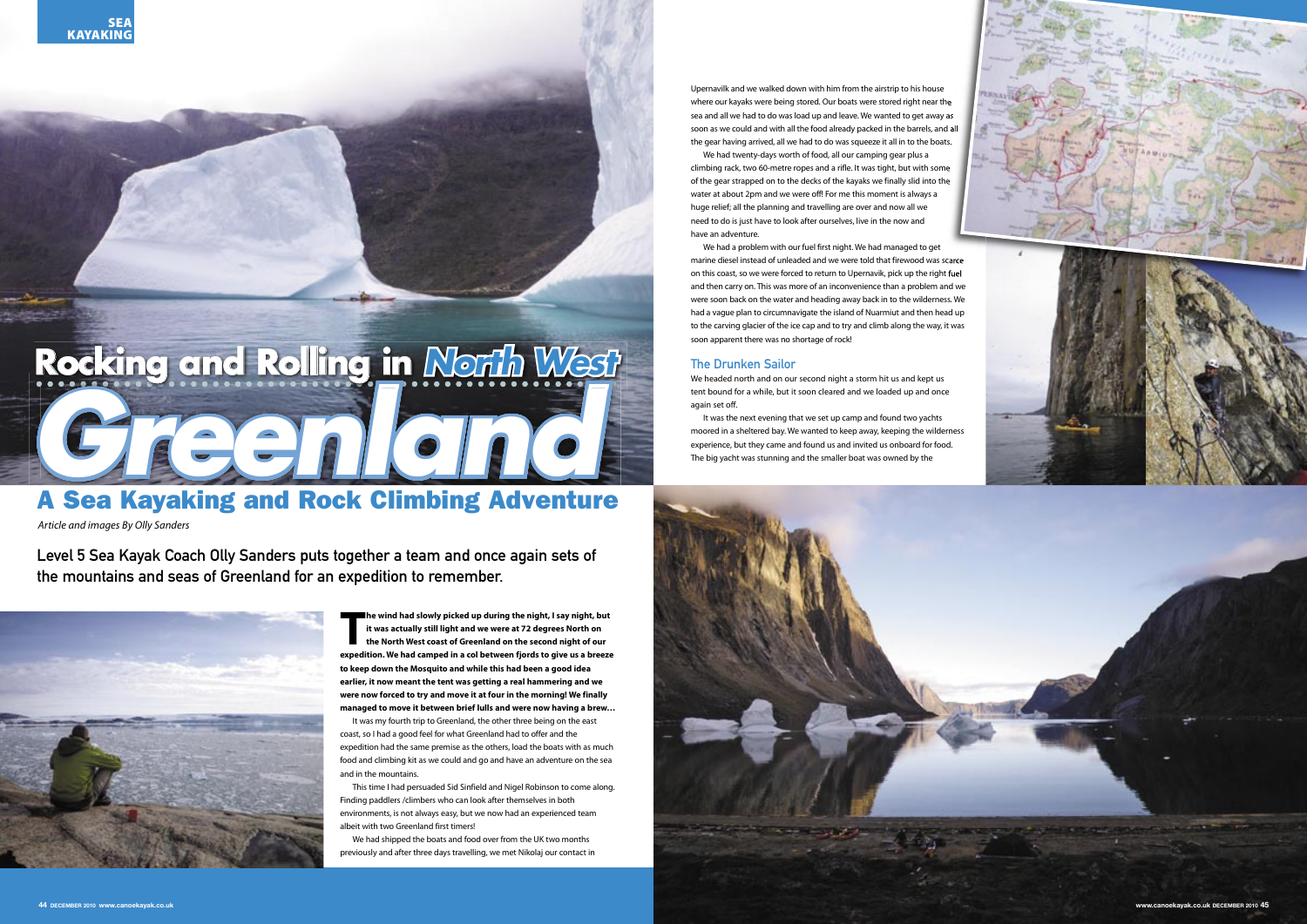**The wind had slowly picked up during the night, I say night, but**<br>
it was actually still light and we were at 72 degrees North on<br>
the North West coast of Greenland on the second night of our<br>
expedition. We had camped in **he wind had slowly picked up during the night, I say night, but it was actually still light and we were at 72 degrees North on the North West coast of Greenland on the second night of our to keep down the Mosquito and while this had been a good idea earlier, it now meant the tent was getting a real hammering and we were now forced to try and move it at four in the morning! We finally managed to move it between brief lulls and were now having a brew…**

It was my fourth trip to Greenland, the other three being on the east coast, so I had a good feel for what Greenland had to offer and the expedition had the same premise as the others, load the boats with as much food and climbing kit as we could and go and have an adventure on the sea and in the mountains.



This time I had persuaded Sid Sinfield and Nigel Robinson to come along. Finding paddlers /climbers who can look after themselves in both environments, is not always easy, but we now had an experienced team albeit with two Greenland first timers!

We had shipped the boats and food over from the UK two months previously and after three days travelling, we met Nikolaj our contact in

Level 5 Sea Kayak Coach Olly Sanders puts together a team and once again sets of the mountains and seas of Greenland for an expedition to remember.



# A Sea Kayaking and Rock Climbing Adventure

Article and images By Olly Sanders

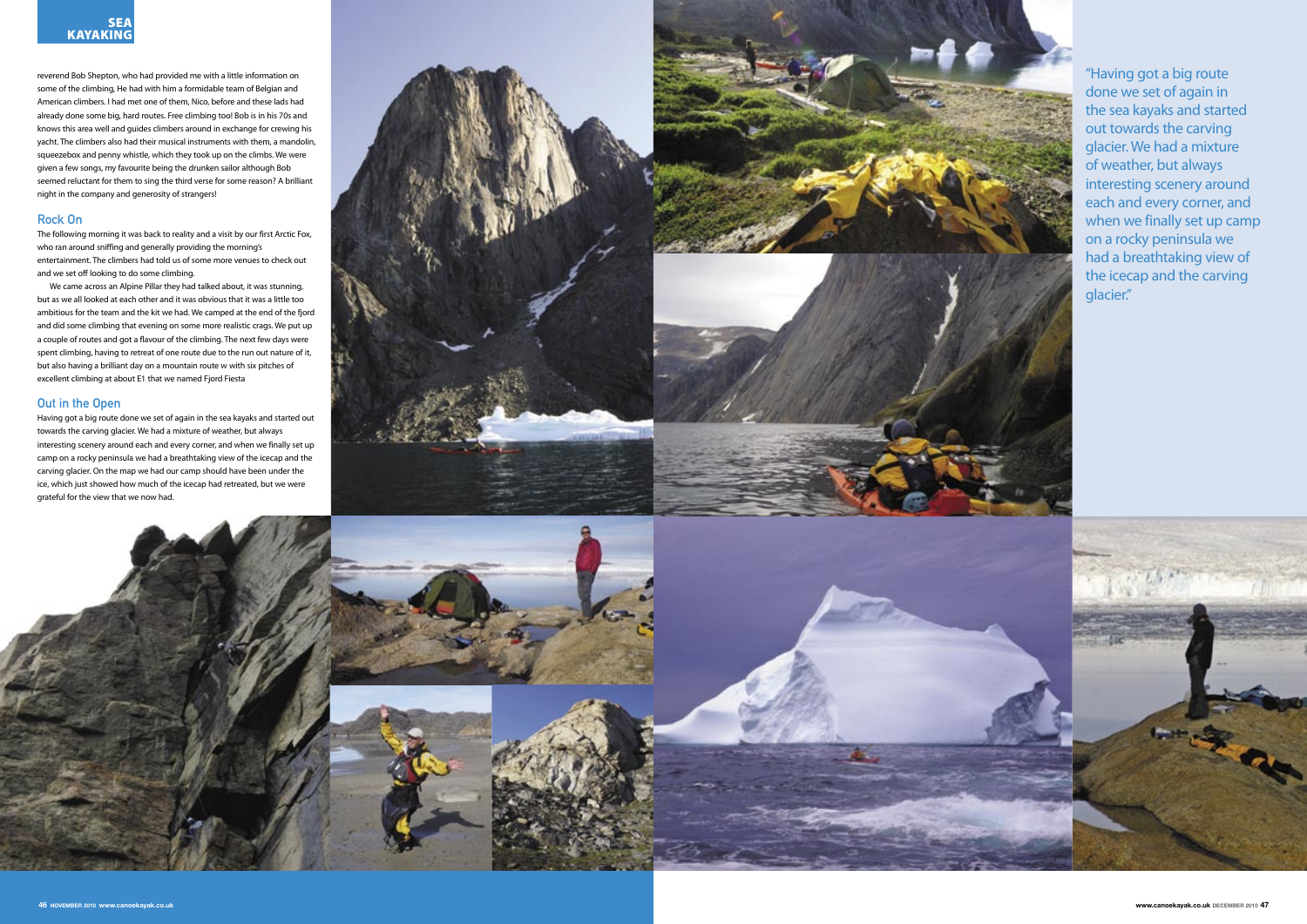We came across an Alpine Pillar they had talked about, it was stunning,